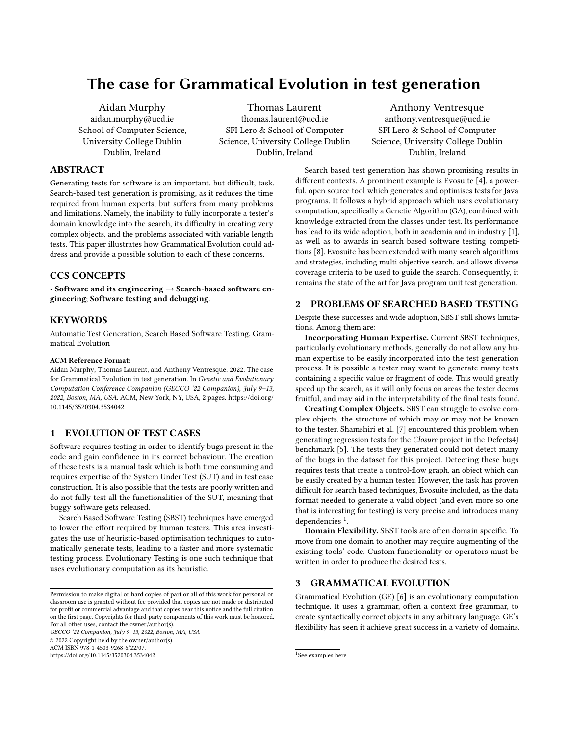# The case for Grammatical Evolution in test generation

[Aidan Murphy](https://orcid.org/) aidan.murphy@ucd.ie School of Computer Science, University College Dublin Dublin, Ireland

[Thomas Laurent](https://orcid.org/0000-0002-0953-774X) thomas.laurent@ucd.ie SFI Lero & School of Computer Science, University College Dublin Dublin, Ireland

[Anthony Ventresque](https://orcid.org/0000-0003-2064-1238) anthony.ventresque@ucd.ie SFI Lero & School of Computer Science, University College Dublin Dublin, Ireland

# ABSTRACT

Generating tests for software is an important, but difficult, task. Search-based test generation is promising, as it reduces the time required from human experts, but suffers from many problems and limitations. Namely, the inability to fully incorporate a tester's domain knowledge into the search, its difficulty in creating very complex objects, and the problems associated with variable length tests. This paper illustrates how Grammatical Evolution could address and provide a possible solution to each of these concerns.

# CCS CONCEPTS

• Software and its engineering  $\rightarrow$  Search-based software engineering; Software testing and debugging.

#### **KEYWORDS**

Automatic Test Generation, Search Based Software Testing, Grammatical Evolution

#### ACM Reference Format:

Aidan Murphy, Thomas Laurent, and Anthony Ventresque. 2022. The case for Grammatical Evolution in test generation. In Genetic and Evolutionary Computation Conference Companion (GECCO '22 Companion), July 9–13, 2022, Boston, MA, USA. ACM, New York, NY, USA, [2](#page-1-0) pages. [https://doi.org/](https://doi.org/10.1145/3520304.3534042) [10.1145/3520304.3534042](https://doi.org/10.1145/3520304.3534042)

## 1 EVOLUTION OF TEST CASES

Software requires testing in order to identify bugs present in the code and gain confidence in its correct behaviour. The creation of these tests is a manual task which is both time consuming and requires expertise of the System Under Test (SUT) and in test case construction. It is also possible that the tests are poorly written and do not fully test all the functionalities of the SUT, meaning that buggy software gets released.

Search Based Software Testing (SBST) techniques have emerged to lower the effort required by human testers. This area investigates the use of heuristic-based optimisation techniques to automatically generate tests, leading to a faster and more systematic testing process. Evolutionary Testing is one such technique that uses evolutionary computation as its heuristic.

GECCO '22 Companion, July 9–13, 2022, Boston, MA, USA © 2022 Copyright held by the owner/author(s). ACM ISBN 978-1-4503-9268-6/22/07.

<https://doi.org/10.1145/3520304.3534042>

Search based test generation has shown promising results in different contexts. A prominent example is Evosuite [\[4\]](#page-1-1), a powerful, open source tool which generates and optimises tests for Java programs. It follows a hybrid approach which uses evolutionary computation, specifically a Genetic Algorithm (GA), combined with knowledge extracted from the classes under test. Its performance has lead to its wide adoption, both in academia and in industry [\[1\]](#page-1-2), as well as to awards in search based software testing competitions [\[8\]](#page-1-3). Evosuite has been extended with many search algorithms and strategies, including multi objective search, and allows diverse coverage criteria to be used to guide the search. Consequently, it remains the state of the art for Java program unit test generation.

#### <span id="page-0-1"></span>2 PROBLEMS OF SEARCHED BASED TESTING

Despite these successes and wide adoption, SBST still shows limitations. Among them are:

Incorporating Human Expertise. Current SBST techniques, particularly evolutionary methods, generally do not allow any human expertise to be easily incorporated into the test generation process. It is possible a tester may want to generate many tests containing a specific value or fragment of code. This would greatly speed up the search, as it will only focus on areas the tester deems fruitful, and may aid in the interpretability of the final tests found.

Creating Complex Objects. SBST can struggle to evolve complex objects, the structure of which may or may not be known to the tester. Shamshiri et al. [\[7\]](#page-1-4) encountered this problem when generating regression tests for the Closure project in the Defects4J benchmark [\[5\]](#page-1-5). The tests they generated could not detect many of the bugs in the dataset for this project. Detecting these bugs requires tests that create a control-flow graph, an object which can be easily created by a human tester. However, the task has proven difficult for search based techniques, Evosuite included, as the data format needed to generate a valid object (and even more so one that is interesting for testing) is very precise and introduces many dependencies<sup>[1](#page-0-0)</sup>.

Domain Flexibility. SBST tools are often domain specific. To move from one domain to another may require augmenting of the existing tools' code. Custom functionality or operators must be written in order to produce the desired tests.

## 3 GRAMMATICAL EVOLUTION

Grammatical Evolution (GE) [\[6\]](#page-1-6) is an evolutionary computation technique. It uses a grammar, often a context free grammar, to create syntactically correct objects in any arbitrary language. GE's flexibility has seen it achieve great success in a variety of domains.

Permission to make digital or hard copies of part or all of this work for personal or classroom use is granted without fee provided that copies are not made or distributed for profit or commercial advantage and that copies bear this notice and the full citation on the first page. Copyrights for third-party components of this work must be honored. For all other uses, contact the owner/author(s).

<span id="page-0-0"></span><sup>1</sup> See examples [here](https://github.com/Spirals-Team/defects4j-repair/blob/Closure14/test/com/google/javascript/jscomp/ControlFlowAnalysisTest.java)